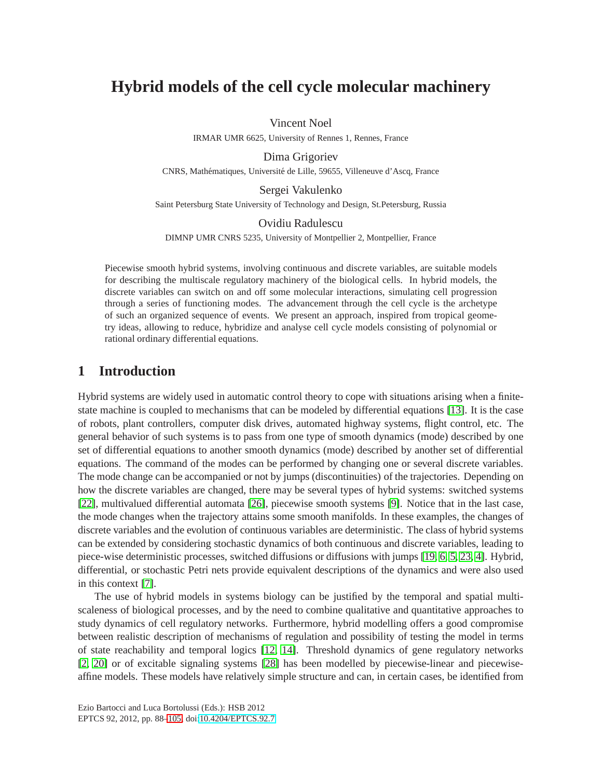# **Hybrid models of the cell cycle molecular machinery**

Vincent Noel

IRMAR UMR 6625, University of Rennes 1, Rennes, France

Dima Grigoriev CNRS, Mathématiques, Université de Lille, 59655, Villeneuve d'Ascq, France

Sergei Vakulenko

Saint Petersburg State University of Technology and Design, St.Petersburg, Russia

#### Ovidiu Radulescu

DIMNP UMR CNRS 5235, University of Montpellier 2, Montpellier, France

Piecewise smooth hybrid systems, involving continuous and discrete variables, are suitable models for describing the multiscale regulatory machinery of the biological cells. In hybrid models, the discrete variables can switch on and off some molecular interactions, simulating cell progression through a series of functioning modes. The advancement through the cell cycle is the archetype of such an organized sequence of events. We present an approach, inspired from tropical geometry ideas, allowing to reduce, hybridize and analyse cell cycle models consisting of polynomial or rational ordinary differential equations.

## **1 Introduction**

Hybrid systems are widely used in automatic control theory to cope with situations arising when a finitestate machine is coupled to mechanisms that can be modeled by differential equations [\[13\]](#page-14-0). It is the case of robots, plant controllers, computer disk drives, automated highway systems, flight control, etc. The general behavior of such systems is to pass from one type of smooth dynamics (mode) described by one set of differential equations to another smooth dynamics (mode) described by another set of differential equations. The command of the modes can be performed by changing one or several discrete variables. The mode change can be accompanied or not by jumps (discontinuities) of the trajectories. Depending on how the discrete variables are changed, there may be several types of hybrid systems: switched systems [\[22\]](#page-14-1), multivalued differential automata [\[26\]](#page-14-2), piecewise smooth systems [\[9\]](#page-13-0). Notice that in the last case, the mode changes when the trajectory attains some smooth manifolds. In these examples, the changes of discrete variables and the evolution of continuous variables are deterministic. The class of hybrid systems can be extended by considering stochastic dynamics of both continuous and discrete variables, leading to piece-wise deterministic processes, switched diffusions or diffusions with jumps [\[19,](#page-14-3) [6,](#page-13-1) [5,](#page-13-2) [23,](#page-14-4) [4\]](#page-13-3). Hybrid, differential, or stochastic Petri nets provide equivalent descriptions of the dynamics and were also used in this context [\[7\]](#page-13-4).

The use of hybrid models in systems biology can be justified by the temporal and spatial multiscaleness of biological processes, and by the need to combine qualitative and quantitative approaches to study dynamics of cell regulatory networks. Furthermore, hybrid modelling offers a good compromise between realistic description of mechanisms of regulation and possibility of testing the model in terms of state reachability and temporal logics [\[12,](#page-14-5) [14\]](#page-14-6). Threshold dynamics of gene regulatory networks [\[2,](#page-13-5) [20\]](#page-14-7) or of excitable signaling systems [\[28\]](#page-14-8) has been modelled by piecewise-linear and piecewiseaffine models. These models have relatively simple structure and can, in certain cases, be identified from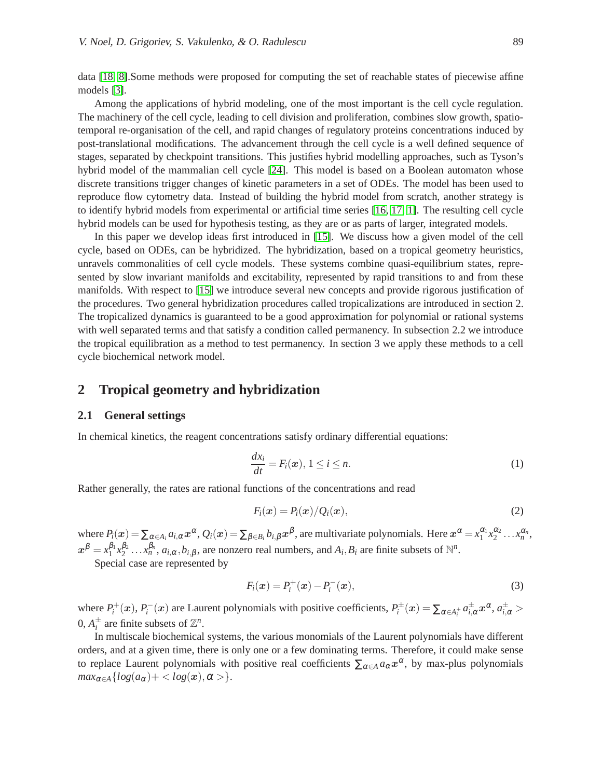data [\[18,](#page-14-9) [8\]](#page-13-6).Some methods were proposed for computing the set of reachable states of piecewise affine models [\[3\]](#page-13-7).

Among the applications of hybrid modeling, one of the most important is the cell cycle regulation. The machinery of the cell cycle, leading to cell division and proliferation, combines slow growth, spatiotemporal re-organisation of the cell, and rapid changes of regulatory proteins concentrations induced by post-translational modifications. The advancement through the cell cycle is a well defined sequence of stages, separated by checkpoint transitions. This justifies hybrid modelling approaches, such as Tyson's hybrid model of the mammalian cell cycle [\[24\]](#page-14-10). This model is based on a Boolean automaton whose discrete transitions trigger changes of kinetic parameters in a set of ODEs. The model has been used to reproduce flow cytometry data. Instead of building the hybrid model from scratch, another strategy is to identify hybrid models from experimental or artificial time series [\[16,](#page-14-11) [17,](#page-14-12) [1\]](#page-13-8). The resulting cell cycle hybrid models can be used for hypothesis testing, as they are or as parts of larger, integrated models.

In this paper we develop ideas first introduced in [\[15\]](#page-14-13). We discuss how a given model of the cell cycle, based on ODEs, can be hybridized. The hybridization, based on a tropical geometry heuristics, unravels commonalities of cell cycle models. These systems combine quasi-equilibrium states, represented by slow invariant manifolds and excitability, represented by rapid transitions to and from these manifolds. With respect to [\[15\]](#page-14-13) we introduce several new concepts and provide rigorous justification of the procedures. Two general hybridization procedures called tropicalizations are introduced in section 2. The tropicalized dynamics is guaranteed to be a good approximation for polynomial or rational systems with well separated terms and that satisfy a condition called permanency. In subsection 2.2 we introduce the tropical equilibration as a method to test permanency. In section 3 we apply these methods to a cell cycle biochemical network model.

## **2 Tropical geometry and hybridization**

#### **2.1 General settings**

In chemical kinetics, the reagent concentrations satisfy ordinary differential equations:

<span id="page-1-0"></span>
$$
\frac{dx_i}{dt} = F_i(\boldsymbol{x}), \ 1 \le i \le n. \tag{1}
$$

Rather generally, the rates are rational functions of the concentrations and read

<span id="page-1-1"></span>
$$
F_i(\boldsymbol{x}) = P_i(\boldsymbol{x})/Q_i(\boldsymbol{x}), \qquad (2)
$$

where  $P_i(x) = \sum_{\alpha \in A_i} a_{i,\alpha} x^{\alpha}, Q_i(x) = \sum_{\beta \in B_i} b_{i,\beta} x^{\beta}$ , are multivariate polynomials. Here  $x^{\alpha} = x_1^{\alpha_1} x_2^{\alpha_2} \dots x_n^{\alpha_n}$ ,  $x^{\beta} = x_1^{\beta_1}$  $^{\beta_1}_{1}$ *x*<sup>β</sup><sub>2</sub><sub>2</sub>  $\beta_2^0$  ... *x*, $\beta_n^0$ , *a*<sub>*i*, $\alpha$ </sub>, $b_{i,\beta}$ , are nonzero real numbers, and  $A_i$ ,  $B_i$  are finite subsets of  $\mathbb{N}^n$ .

Special case are represented by

<span id="page-1-2"></span>
$$
F_i(x) = P_i^+(x) - P_i^-(x),
$$
\n(3)

where  $P_i^+(x)$ ,  $P_i^-(x)$  are Laurent polynomials with positive coefficients,  $P_i^{\pm}(x) = \sum_{\alpha \in A_i^{\pm}} a_{i,\alpha}^{\pm} x^{\alpha}$ ,  $a_{i,\alpha}^{\pm} >$ 0,  $A_i^{\pm}$  are finite subsets of  $\mathbb{Z}^n$ .

In multiscale biochemical systems, the various monomials of the Laurent polynomials have different orders, and at a given time, there is only one or a few dominating terms. Therefore, it could make sense to replace Laurent polynomials with positive real coefficients  $\sum_{\alpha \in A} a_{\alpha} x^{\alpha}$ , by max-plus polynomials  $max_{\alpha \in A} \{ log(a_{\alpha}) + \langle log(x), \alpha \rangle \}.$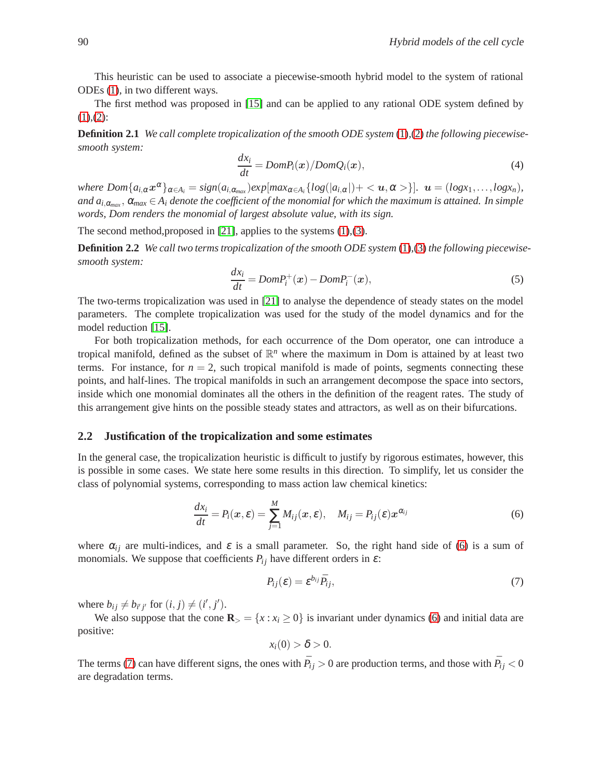This heuristic can be used to associate a piecewise-smooth hybrid model to the system of rational ODEs [\(1\)](#page-1-0), in two different ways.

The first method was proposed in [\[15\]](#page-14-13) and can be applied to any rational ODE system defined by  $(1), (2)$  $(1), (2)$  $(1), (2)$ :

<span id="page-2-2"></span>**Definition 2.1** *We call complete tropicalization of the smooth ODE system* [\(1\)](#page-1-0)*,*[\(2\)](#page-1-1) *the following piecewisesmooth system:*

$$
\frac{dx_i}{dt} = Dom P_i(x)/Dom Q_i(x),
$$
\n(4)

where  $Dom\{a_{i,\alpha}x^{\alpha}\}_{\alpha\in A_i} = sign(a_{i,\alpha_{max}})exp[max_{\alpha\in A_i}\{log(|a_{i,\alpha}|)+\langle u,\alpha\rangle\}].$   $u = (logx_1,...,logx_n)$ , and  $a_{i,\alpha_{max}}, aalpha_{max} \in A_i$  denote the coefficient of the monomial for which the maximum is attained. In simple *words, Dom renders the monomial of largest absolute value, with its sign.*

The second method,proposed in [\[21\]](#page-14-14), applies to the systems [\(1\)](#page-1-0),[\(3\)](#page-1-2).

<span id="page-2-3"></span>**Definition 2.2** *We call two terms tropicalization of the smooth ODE system* [\(1\)](#page-1-0)*,*[\(3\)](#page-1-2) *the following piecewisesmooth system:*

$$
\frac{dx_i}{dt} = Dom P_i^+(x) - Dom P_i^-(x),
$$
\n(5)

The two-terms tropicalization was used in [\[21\]](#page-14-14) to analyse the dependence of steady states on the model parameters. The complete tropicalization was used for the study of the model dynamics and for the model reduction [\[15\]](#page-14-13).

For both tropicalization methods, for each occurrence of the Dom operator, one can introduce a tropical manifold, defined as the subset of R *<sup>n</sup>* where the maximum in Dom is attained by at least two terms. For instance, for  $n = 2$ , such tropical manifold is made of points, segments connecting these points, and half-lines. The tropical manifolds in such an arrangement decompose the space into sectors, inside which one monomial dominates all the others in the definition of the reagent rates. The study of this arrangement give hints on the possible steady states and attractors, as well as on their bifurcations.

#### **2.2 Justification of the tropicalization and some estimates**

In the general case, the tropicalization heuristic is difficult to justify by rigorous estimates, however, this is possible in some cases. We state here some results in this direction. To simplify, let us consider the class of polynomial systems, corresponding to mass action law chemical kinetics:

$$
\frac{dx_i}{dt} = P_i(\boldsymbol{x}, \boldsymbol{\varepsilon}) = \sum_{j=1}^{M} M_{ij}(\boldsymbol{x}, \boldsymbol{\varepsilon}), \quad M_{ij} = P_{ij}(\boldsymbol{\varepsilon}) \boldsymbol{x}^{\alpha_{ij}}
$$
(6)

where  $\alpha_{ij}$  are multi-indices, and  $\varepsilon$  is a small parameter. So, the right hand side of [\(6\)](#page-2-0) is a sum of monomials. We suppose that coefficients  $P_{ij}$  have different orders in  $\varepsilon$ :

<span id="page-2-1"></span><span id="page-2-0"></span>
$$
P_{ij}(\varepsilon) = \varepsilon^{b_{ij}} \bar{P}_{ij},\tag{7}
$$

where  $b_{ij} \neq b_{i'j'}$  for  $(i, j) \neq (i', j').$ 

We also suppose that the cone  $\mathbf{R}_{>} = \{x : x_i \geq 0\}$  is invariant under dynamics [\(6\)](#page-2-0) and initial data are positive:

$$
x_i(0) > \delta > 0.
$$

The terms [\(7\)](#page-2-1) can have different signs, the ones with  $\bar{P}_{ij} > 0$  are production terms, and those with  $\bar{P}_{ij} < 0$ are degradation terms.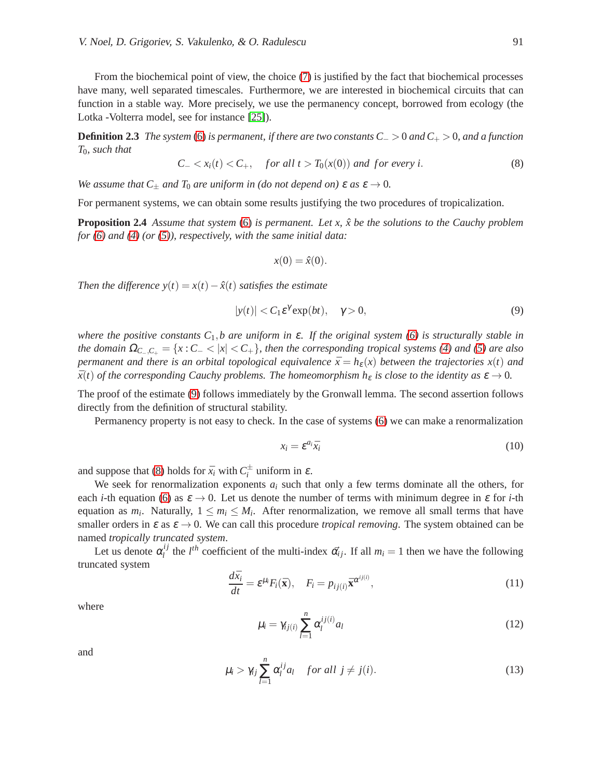From the biochemical point of view, the choice [\(7\)](#page-2-1) is justified by the fact that biochemical processes have many, well separated timescales. Furthermore, we are interested in biochemical circuits that can function in a stable way. More precisely, we use the permanency concept, borrowed from ecology (the Lotka -Volterra model, see for instance [\[25\]](#page-14-15)).

**Definition 2.3** *The system* [\(6\)](#page-2-0) *is permanent, if there are two constants C*<sup>−</sup> > 0 *and C*<sup>+</sup> > 0*, and a function T*0*, such that*

<span id="page-3-1"></span>
$$
C_{-} < x_i(t) < C_{+}, \quad \text{for all } t > T_0(x(0)) \text{ and for every } i. \tag{8}
$$

*We assume that*  $C_+$  *and*  $T_0$  *are uniform in (do not depend on)*  $\varepsilon$  *as*  $\varepsilon \to 0$ *.* 

For permanent systems, we can obtain some results justifying the two procedures of tropicalization.

**Proposition 2.4** *Assume that system* [\(6\)](#page-2-0) *is permanent. Let x,*  $\hat{x}$  *be the solutions to the Cauchy problem for [\(6\)](#page-2-0) and [\(4\)](#page-2-2) (or [\(5\)](#page-2-3)), respectively, with the same initial data:*

<span id="page-3-2"></span><span id="page-3-0"></span>
$$
x(0) = \hat{x}(0).
$$

*Then the difference*  $y(t) = x(t) - \hat{x}(t)$  *satisfies the estimate* 

$$
|y(t)| < C_1 \varepsilon^{\gamma} \exp(bt), \quad \gamma > 0,
$$
\n(9)

*where the positive constants C*1,*b are uniform in* <sup>ε</sup>*. If the original system [\(6\)](#page-2-0) is structurally stable in the domain*  $\Omega_{C_-C_+} = \{x : C_- < |x| < C_+\}$ , then the corresponding tropical systems [\(4\)](#page-2-2) and [\(5\)](#page-2-3) are also *permanent and there is an orbital topological equivalence*  $\bar{x} = h_{\varepsilon}(x)$  *between the trajectories*  $x(t)$  *and*  $\bar{x}(t)$  *of the corresponding Cauchy problems. The homeomorphism*  $h_{\varepsilon}$  *is close to the identity as*  $\varepsilon \to 0$ *.* 

The proof of the estimate [\(9\)](#page-3-0) follows immediately by the Gronwall lemma. The second assertion follows directly from the definition of structural stability.

Permanency property is not easy to check. In the case of systems [\(6\)](#page-2-0) we can make a renormalization

$$
x_i = \mathcal{E}^{a_i} \bar{x}_i \tag{10}
$$

and suppose that [\(8\)](#page-3-1) holds for  $\bar{x}_i$  with  $C_i^{\pm}$  uniform in  $\varepsilon$ .

We seek for renormalization exponents  $a_i$  such that only a few terms dominate all the others, for each *i*-th equation [\(6\)](#page-2-0) as  $\varepsilon \to 0$ . Let us denote the number of terms with minimum degree in  $\varepsilon$  for *i*-th equation as  $m_i$ . Naturally,  $1 \le m_i \le M_i$ . After renormalization, we remove all small terms that have smaller orders in  $\varepsilon$  as  $\varepsilon \to 0$ . We can call this procedure *tropical removing*. The system obtained can be named *tropically truncated system*.

Let us denote  $\alpha_i^{ij}$ <sup>*l*</sup>,<sup>*i*</sup> the *l*<sup>th</sup> coefficient of the multi-index  $\vec{\alpha_{ij}}$ . If all  $m_i = 1$  then we have the following truncated system

$$
\frac{d\bar{x}_i}{dt} = \varepsilon^{\mu_i} F_i(\bar{\mathbf{x}}), \quad F_i = p_{ij(i)} \bar{\mathbf{x}}^{\alpha^{ij(i)}}, \tag{11}
$$

where

$$
\mu_i = \gamma_{ij(i)} \sum_{l=1}^n \alpha_l^{ij(i)} a_l \tag{12}
$$

and

$$
\mu_i > \gamma_{ij} \sum_{l=1}^n \alpha_l^{ij} a_l \quad \text{for all } j \neq j(i).
$$
 (13)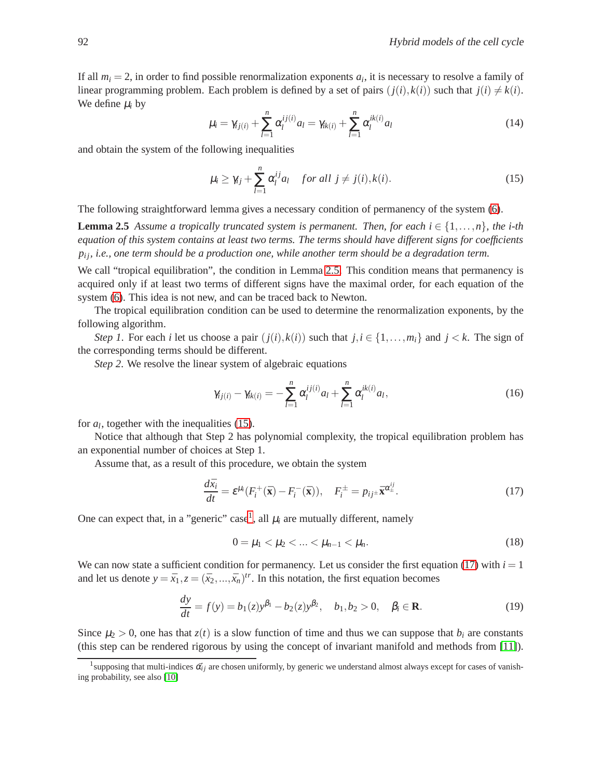If all  $m_i = 2$ , in order to find possible renormalization exponents  $a_i$ , it is necessary to resolve a family of linear programming problem. Each problem is defined by a set of pairs  $(j(i), k(i))$  such that  $j(i) \neq k(i)$ . We define  $\mu_i$  by

$$
\mu_i = \gamma_{ij(i)} + \sum_{l=1}^n \alpha_l^{ij(i)} a_l = \gamma_{ik(i)} + \sum_{l=1}^n \alpha_l^{ik(i)} a_l \tag{14}
$$

and obtain the system of the following inequalities

<span id="page-4-1"></span><span id="page-4-0"></span>
$$
\mu_i \geq \gamma_{ij} + \sum_{l=1}^n \alpha_l^{ij} a_l \quad \text{for all } j \neq j(i), k(i).
$$
 (15)

The following straightforward lemma gives a necessary condition of permanency of the system [\(6\)](#page-2-0).

**Lemma 2.5** Assume a tropically truncated system is permanent. Then, for each  $i \in \{1, \ldots, n\}$ , the *i-th equation of this system contains at least two terms. The terms should have different signs for coefficients p*<sub>i</sub>, *i.e.*, one term should be a production one, while another term should be a degradation term.

We call "tropical equilibration", the condition in Lemma [2.5.](#page-4-0) This condition means that permanency is acquired only if at least two terms of different signs have the maximal order, for each equation of the system [\(6\)](#page-2-0). This idea is not new, and can be traced back to Newton.

The tropical equilibration condition can be used to determine the renormalization exponents, by the following algorithm.

*Step 1*. For each *i* let us choose a pair  $(j(i), k(i))$  such that  $j, i \in \{1, \ldots, m_i\}$  and  $j < k$ . The sign of the corresponding terms should be different.

*Step 2*. We resolve the linear system of algebraic equations

$$
\gamma_{ij(i)} - \gamma_{ik(i)} = -\sum_{l=1}^{n} \alpha_l^{ij(i)} a_l + \sum_{l=1}^{n} \alpha_l^{ik(i)} a_l,
$$
\n(16)

for  $a_l$ , together with the inequalities [\(15\)](#page-4-1).

Notice that although that Step 2 has polynomial complexity, the tropical equilibration problem has an exponential number of choices at Step 1.

Assume that, as a result of this procedure, we obtain the system

$$
\frac{d\bar{x}_i}{dt} = \varepsilon^{\mu_i} (F_i^+(\bar{\mathbf{x}}) - F_i^-(\bar{\mathbf{x}})), \quad F_i^{\pm} = p_{ij^{\pm}} \bar{\mathbf{x}}^{\alpha_{\pm}^{ij}}.
$$
\n(17)

One can expect that, in a "generic" case<sup>[1](#page-4-2)</sup>, all  $\mu_i$  are mutually different, namely

<span id="page-4-5"></span><span id="page-4-4"></span><span id="page-4-3"></span>
$$
0 = \mu_1 < \mu_2 < \ldots < \mu_{n-1} < \mu_n. \tag{18}
$$

We can now state a sufficient condition for permanency. Let us consider the first equation [\(17\)](#page-4-3) with  $i = 1$ and let us denote  $y = \bar{x}_1, z = (\bar{x}_2, ..., \bar{x}_n)^{tr}$ . In this notation, the first equation becomes

$$
\frac{dy}{dt} = f(y) = b_1(z)y^{\beta_1} - b_2(z)y^{\beta_2}, \quad b_1, b_2 > 0, \quad \beta_i \in \mathbf{R}.\tag{19}
$$

Since  $\mu_2 > 0$ , one has that  $z(t)$  is a slow function of time and thus we can suppose that  $b_i$  are constants (this step can be rendered rigorous by using the concept of invariant manifold and methods from [\[11\]](#page-14-16)).

<span id="page-4-2"></span><sup>&</sup>lt;sup>1</sup>supposing that multi-indices  $\vec{\alpha_{ij}}$  are chosen uniformly, by generic we understand almost always except for cases of vanishing probability, see also [\[10\]](#page-13-9)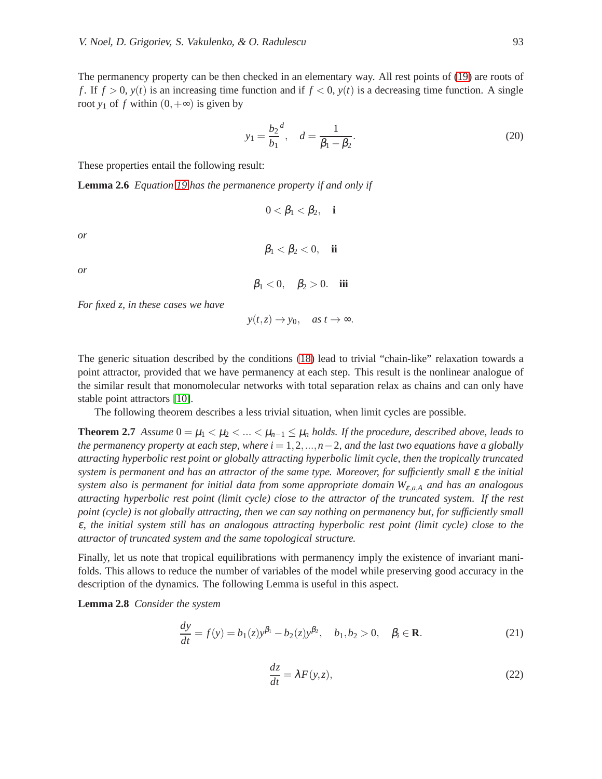The permanency property can be then checked in an elementary way. All rest points of [\(19\)](#page-4-4) are roots of *f*. If  $f > 0$ ,  $y(t)$  is an increasing time function and if  $f < 0$ ,  $y(t)$  is a decreasing time function. A single root *y*<sub>1</sub> of *f* within  $(0, +\infty)$  is given by

<span id="page-5-0"></span>
$$
y_1 = \frac{b_2}{b_1}^d, \quad d = \frac{1}{\beta_1 - \beta_2}.
$$
 (20)

These properties entail the following result:

**Lemma 2.6** *Equation [19](#page-4-4) has the permanence property if and only if*

$$
0<\beta_1<\beta_2, \quad \mathbf{i}
$$

*or*

*or*

$$
\beta_1<0, \quad \beta_2>0. \quad \textbf{iii}
$$

 $\beta_1 < \beta_2 < 0$ , **ii** 

*For fixed z, in these cases we have*

<span id="page-5-2"></span>
$$
y(t, z) \rightarrow y_0
$$
, as  $t \rightarrow \infty$ .

The generic situation described by the conditions [\(18\)](#page-4-5) lead to trivial "chain-like" relaxation towards a point attractor, provided that we have permanency at each step. This result is the nonlinear analogue of the similar result that monomolecular networks with total separation relax as chains and can only have stable point attractors [\[10\]](#page-13-9).

The following theorem describes a less trivial situation, when limit cycles are possible.

**Theorem 2.7** *Assume*  $0 = \mu_1 < \mu_2 < ... < \mu_{n-1} \leq \mu_n$  *holds. If the procedure, described above, leads to the permanency property at each step, where i* = 1,2,...,*n*−2*, and the last two equations have a globally attracting hyperbolic rest point or globally attracting hyperbolic limit cycle, then the tropically truncated system is permanent and has an attractor of the same type. Moreover, for sufficiently small* <sup>ε</sup> *the initial system also is permanent for initial data from some appropriate domain W*ε,*a*,*<sup>A</sup> and has an analogous attracting hyperbolic rest point (limit cycle) close to the attractor of the truncated system. If the rest point (cycle) is not globally attracting, then we can say nothing on permanency but, for sufficiently small* <sup>ε</sup>*, the initial system still has an analogous attracting hyperbolic rest point (limit cycle) close to the attractor of truncated system and the same topological structure.*

Finally, let us note that tropical equilibrations with permanency imply the existence of invariant manifolds. This allows to reduce the number of variables of the model while preserving good accuracy in the description of the dynamics. The following Lemma is useful in this aspect.

**Lemma 2.8** *Consider the system*

<span id="page-5-1"></span>
$$
\frac{dy}{dt} = f(y) = b_1(z)y^{\beta_1} - b_2(z)y^{\beta_2}, \quad b_1, b_2 > 0, \quad \beta_i \in \mathbf{R}.\tag{21}
$$

$$
\frac{dz}{dt} = \lambda F(y, z),\tag{22}
$$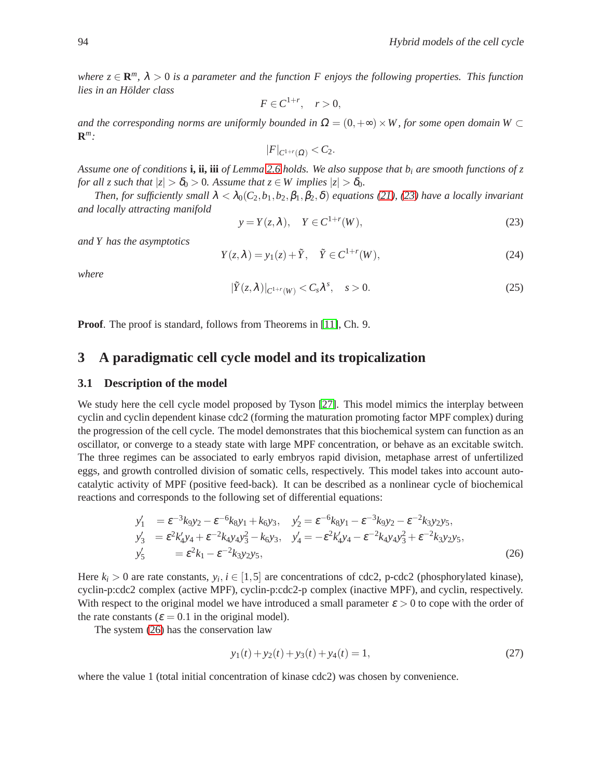*where*  $z \in \mathbf{R}^m$ ,  $\lambda > 0$  *is a parameter and the function F enjoys the following properties. This function lies in an Holder class ¨*

$$
F\in C^{1+r},\quad r>0,
$$

*and the corresponding norms are uniformly bounded in*  $\Omega = (0, +\infty) \times W$ , for some open domain W ⊂ **R** *m:*

$$
|F|_{C^{1+r}(\Omega)} < C_2.
$$

*Assume one of conditions* **i, ii, iii** *of Lemma [2.6](#page-5-0) holds. We also suppose that b<sup>i</sup> are smooth functions of z for all z such that*  $|z| > \delta_0 > 0$ *. Assume that*  $z \in W$  *implies*  $|z| > \delta_0$ *.* 

*Then, for sufficiently small*  $\lambda < \lambda_0(C_2, b_1, b_2, \beta_1, \beta_2, \delta)$  *equations* [\(21\)](#page-5-1)*,* [\(23\)](#page-6-0) have a locally invariant *and locally attracting manifold*

<span id="page-6-0"></span>
$$
y = Y(z, \lambda), \quad Y \in C^{1+r}(W), \tag{23}
$$

*and Y has the asymptotics*

$$
Y(z,\lambda) = y_1(z) + \tilde{Y}, \quad \tilde{Y} \in C^{1+r}(W), \tag{24}
$$

<span id="page-6-2"></span>*where*

$$
|\tilde{Y}(z,\lambda)|_{C^{1+r}(W)} < C_s \lambda^s, \quad s > 0. \tag{25}
$$

**Proof.** The proof is standard, follows from Theorems in [\[11\]](#page-14-16), Ch. 9.

### **3 A paradigmatic cell cycle model and its tropicalization**

#### **3.1 Description of the model**

We study here the cell cycle model proposed by Tyson [\[27\]](#page-14-17). This model mimics the interplay between cyclin and cyclin dependent kinase cdc2 (forming the maturation promoting factor MPF complex) during the progression of the cell cycle. The model demonstrates that this biochemical system can function as an oscillator, or converge to a steady state with large MPF concentration, or behave as an excitable switch. The three regimes can be associated to early embryos rapid division, metaphase arrest of unfertilized eggs, and growth controlled division of somatic cells, respectively. This model takes into account autocatalytic activity of MPF (positive feed-back). It can be described as a nonlinear cycle of biochemical reactions and corresponds to the following set of differential equations:

<span id="page-6-1"></span>
$$
y'_1 = \varepsilon^{-3} k_9 y_2 - \varepsilon^{-6} k_8 y_1 + k_6 y_3, \quad y'_2 = \varepsilon^{-6} k_8 y_1 - \varepsilon^{-3} k_9 y_2 - \varepsilon^{-2} k_3 y_2 y_5, \n y'_3 = \varepsilon^2 k'_4 y_4 + \varepsilon^{-2} k_4 y_4 y_3^2 - k_6 y_3, \quad y'_4 = -\varepsilon^2 k'_4 y_4 - \varepsilon^{-2} k_4 y_4 y_3^2 + \varepsilon^{-2} k_3 y_2 y_5, \n y'_5 = \varepsilon^2 k_1 - \varepsilon^{-2} k_3 y_2 y_5,
$$
\n(26)

Here  $k_i > 0$  are rate constants,  $y_i, i \in [1, 5]$  are concentrations of cdc2, p-cdc2 (phosphorylated kinase), cyclin-p:cdc2 complex (active MPF), cyclin-p:cdc2-p complex (inactive MPF), and cyclin, respectively. With respect to the original model we have introduced a small parameter  $\varepsilon > 0$  to cope with the order of the rate constants ( $\varepsilon = 0.1$  in the original model).

The system [\(26\)](#page-6-1) has the conservation law

$$
y_1(t) + y_2(t) + y_3(t) + y_4(t) = 1,
$$
\n(27)

where the value 1 (total initial concentration of kinase cdc2) was chosen by convenience.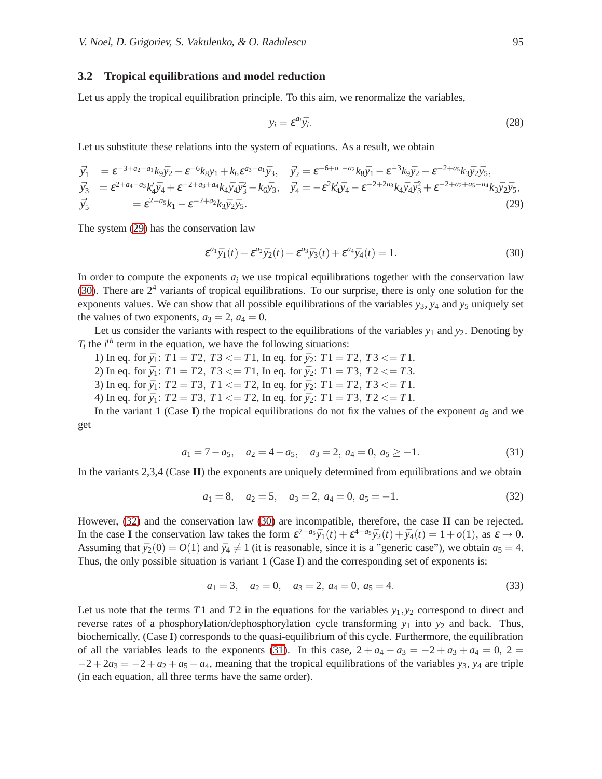#### **3.2 Tropical equilibrations and model reduction**

Let us apply the tropical equilibration principle. To this aim, we renormalize the variables,

$$
y_i = \varepsilon^{a_i} \bar{y}_i. \tag{28}
$$

Let us substitute these relations into the system of equations. As a result, we obtain

<span id="page-7-0"></span>
$$
\begin{split}\n\vec{y}'_{1} &= \varepsilon^{-3+a_{2}-a_{1}}k_{9}\bar{y}_{2} - \varepsilon^{-6}k_{8}y_{1} + k_{6}\varepsilon^{a_{3}-a_{1}}\bar{y}_{3}, \quad \vec{y}'_{2} = \varepsilon^{-6+a_{1}-a_{2}}k_{8}\bar{y}_{1} - \varepsilon^{-3}k_{9}\bar{y}_{2} - \varepsilon^{-2+a_{5}}k_{3}\bar{y}_{2}\bar{y}_{5}, \\
\vec{y}'_{3} &= \varepsilon^{2+a_{4}-a_{3}}k'_{4}\bar{y}_{4} + \varepsilon^{-2+a_{3}+a_{4}}k_{4}\bar{y}_{4}\bar{y}_{3}^{2} - k_{6}\bar{y}_{3}, \quad \vec{y}'_{4} = -\varepsilon^{2}k'_{4}\bar{y}_{4} - \varepsilon^{-2+2a_{3}}k_{4}\bar{y}_{4}\bar{y}_{3}^{2} + \varepsilon^{-2+a_{2}+a_{5}-a_{4}}k_{3}\bar{y}_{2}\bar{y}_{5}, \\
\vec{y}'_{5} &= \varepsilon^{2-a_{5}}k_{1} - \varepsilon^{-2+a_{2}}k_{3}\bar{y}_{2}\bar{y}_{5}.\n\end{split} \tag{29}
$$

The system [\(29\)](#page-7-0) has the conservation law

<span id="page-7-1"></span>
$$
\varepsilon^{a_1}\bar{y}_1(t) + \varepsilon^{a_2}\bar{y}_2(t) + \varepsilon^{a_3}\bar{y}_3(t) + \varepsilon^{a_4}\bar{y}_4(t) = 1.
$$
\n(30)

In order to compute the exponents  $a_i$  we use tropical equilibrations together with the conservation law [\(30\)](#page-7-1). There are  $2<sup>4</sup>$  variants of tropical equilibrations. To our surprise, there is only one solution for the exponents values. We can show that all possible equilibrations of the variables *y*3, *y*<sup>4</sup> and *y*<sup>5</sup> uniquely set the values of two exponents,  $a_3 = 2$ ,  $a_4 = 0$ .

Let us consider the variants with respect to the equilibrations of the variables  $y_1$  and  $y_2$ . Denoting by  $T_i$  the  $i^{th}$  term in the equation, we have the following situations:

- 1) In eq. for  $\bar{y}_1$ :  $T1 = T2$ ,  $T3 \leq T1$ , In eq. for  $\bar{y}_2$ :  $T1 = T2$ ,  $T3 \leq T1$ .
- 2) In eq. for  $\bar{y}_1$ :  $T1 = T2$ ,  $T3 \leq T1$ , In eq. for  $\bar{y}_2$ :  $T1 = T3$ ,  $T2 \leq T3$ .
- 3) In eq. for  $\bar{y}_1$ :  $T2 = T3$ ,  $T1 \le T2$ , In eq. for  $\bar{y}_2$ :  $T1 = T2$ ,  $T3 \le T1$ .

4) In eq. for  $\bar{y}_1$ :  $T2 = T3$ ,  $T1 \le T2$ , In eq. for  $\bar{y}_2$ :  $T1 = T3$ ,  $T2 \le T1$ .

<span id="page-7-3"></span>In the variant 1 (Case **I**) the tropical equilibrations do not fix the values of the exponent  $a_5$  and we get

$$
a_1 = 7 - a_5
$$
,  $a_2 = 4 - a_5$ ,  $a_3 = 2$ ,  $a_4 = 0$ ,  $a_5 \ge -1$ . (31)

In the variants 2,3,4 (Case **II**) the exponents are uniquely determined from equilibrations and we obtain

<span id="page-7-2"></span>
$$
a_1 = 8, \quad a_2 = 5, \quad a_3 = 2, \quad a_4 = 0, \quad a_5 = -1.
$$
 (32)

However, [\(32\)](#page-7-2) and the conservation law [\(30\)](#page-7-1) are incompatible, therefore, the case **II** can be rejected. In the case **I** the conservation law takes the form  $\varepsilon^{7-a_5} \bar{y}_1(t) + \varepsilon^{4-a_5} \bar{y}_2(t) + \bar{y}_4(t) = 1 + o(1)$ , as  $\varepsilon \to 0$ . Assuming that  $\bar{y}_2(0) = O(1)$  and  $\bar{y}_4 \neq 1$  (it is reasonable, since it is a "generic case"), we obtain  $a_5 = 4$ . Thus, the only possible situation is variant 1 (Case **I**) and the corresponding set of exponents is:

<span id="page-7-4"></span>
$$
a_1 = 3, \quad a_2 = 0, \quad a_3 = 2, \quad a_4 = 0, \quad a_5 = 4. \tag{33}
$$

Let us note that the terms *T*1 and *T*2 in the equations for the variables  $y_1, y_2$  correspond to direct and reverse rates of a phosphorylation/dephosphorylation cycle transforming  $y_1$  into  $y_2$  and back. Thus, biochemically, (Case **I**) corresponds to the quasi-equilibrium of this cycle. Furthermore, the equilibration of all the variables leads to the exponents [\(31\)](#page-7-3). In this case,  $2 + a_4 - a_3 = -2 + a_3 + a_4 = 0$ ,  $2 =$  $-2+2a_3 = -2+a_2+a_5-a_4$ , meaning that the tropical equilibrations of the variables *y*<sub>3</sub>, *y*<sub>4</sub> are triple (in each equation, all three terms have the same order).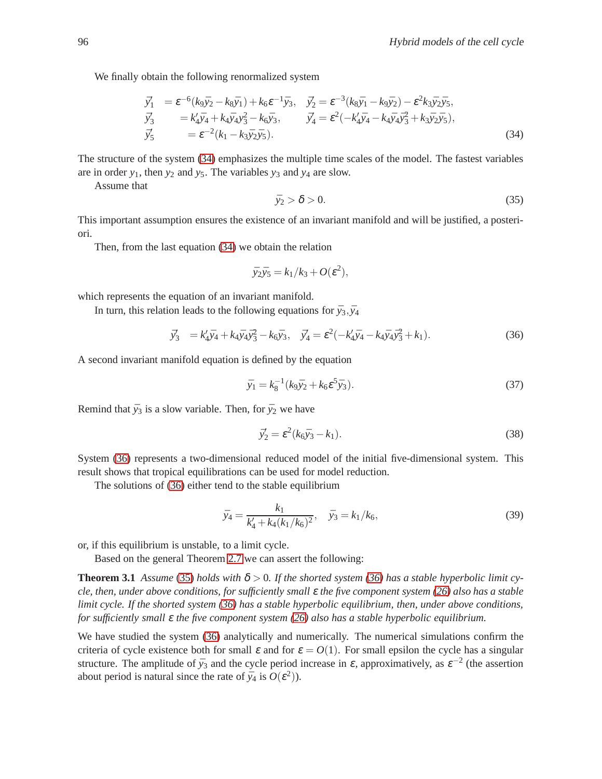We finally obtain the following renormalized system

<span id="page-8-0"></span>
$$
\begin{split}\n\vec{y}'_{1} &= \varepsilon^{-6} (k_9 \bar{y}_2 - k_8 \bar{y}_1) + k_6 \varepsilon^{-1} \bar{y}_3, \quad \vec{y}'_2 = \varepsilon^{-3} (k_8 \bar{y}_1 - k_9 \bar{y}_2) - \varepsilon^2 k_3 \bar{y}_2 \bar{y}_5, \\
\vec{y}'_3 &= k'_4 \bar{y}_4 + k_4 \bar{y}_4 y_3^2 - k_6 \bar{y}_3, \qquad \vec{y}'_4 = \varepsilon^2 (-k'_4 \bar{y}_4 - k_4 \bar{y}_4 \bar{y}_3^2 + k_3 \bar{y}_2 \bar{y}_5), \\
\vec{y}'_5 &= \varepsilon^{-2} (k_1 - k_3 \bar{y}_2 \bar{y}_5).\n\end{split} \tag{34}
$$

The structure of the system [\(34\)](#page-8-0) emphasizes the multiple time scales of the model. The fastest variables are in order  $y_1$ , then  $y_2$  and  $y_5$ . The variables  $y_3$  and  $y_4$  are slow.

<span id="page-8-2"></span>Assume that

$$
\bar{y}_2 > \delta > 0. \tag{35}
$$

This important assumption ensures the existence of an invariant manifold and will be justified, a posteriori.

Then, from the last equation [\(34\)](#page-8-0) we obtain the relation

$$
\bar{y}_2\bar{y}_5=k_1/k_3+O(\varepsilon^2),
$$

which represents the equation of an invariant manifold.

In turn, this relation leads to the following equations for  $\bar{y}_3, \bar{y}_4$ 

<span id="page-8-1"></span>
$$
\vec{y}_3' = k_4'\vec{y}_4 + k_4\vec{y}_4\vec{y}_3^2 - k_6\vec{y}_3, \quad \vec{y}_4' = \varepsilon^2(-k_4'\vec{y}_4 - k_4\vec{y}_4\vec{y}_3^2 + k_1). \tag{36}
$$

A second invariant manifold equation is defined by the equation

$$
\bar{y}_1 = k_8^{-1} (k_9 \bar{y}_2 + k_6 \varepsilon^5 \bar{y}_3). \tag{37}
$$

Remind that  $\bar{y}_3$  is a slow variable. Then, for  $\bar{y}_2$  we have

<span id="page-8-4"></span><span id="page-8-3"></span>
$$
\bar{y}'_2 = \varepsilon^2 (k_6 \bar{y}_3 - k_1). \tag{38}
$$

System [\(36\)](#page-8-1) represents a two-dimensional reduced model of the initial five-dimensional system. This result shows that tropical equilibrations can be used for model reduction.

The solutions of [\(36\)](#page-8-1) either tend to the stable equilibrium

$$
\bar{y}_4 = \frac{k_1}{k_4' + k_4(k_1/k_6)^2}, \quad \bar{y}_3 = k_1/k_6,
$$
\n(39)

or, if this equilibrium is unstable, to a limit cycle.

Based on the general Theorem [2.7](#page-5-2) we can assert the following:

**Theorem 3.1** *Assume* [\(35\)](#page-8-2) *holds with*  $\delta > 0$ . If the shorted system [\(36\)](#page-8-1) has a stable hyperbolic limit cy*cle, then, under above conditions, for sufficiently small* <sup>ε</sup> *the five component system [\(26\)](#page-6-1) also has a stable limit cycle. If the shorted system [\(36\)](#page-8-1) has a stable hyperbolic equilibrium, then, under above conditions, for sufficiently small* <sup>ε</sup> *the five component system [\(26\)](#page-6-1) also has a stable hyperbolic equilibrium.*

We have studied the system [\(36\)](#page-8-1) analytically and numerically. The numerical simulations confirm the criteria of cycle existence both for small  $\varepsilon$  and for  $\varepsilon = O(1)$ . For small epsilon the cycle has a singular structure. The amplitude of  $\bar{y}_3$  and the cycle period increase in  $\varepsilon$ , approximatively, as  $\varepsilon^{-2}$  (the assertion about period is natural since the rate of  $\bar{y}_4$  is  $O(\varepsilon^2)$ ).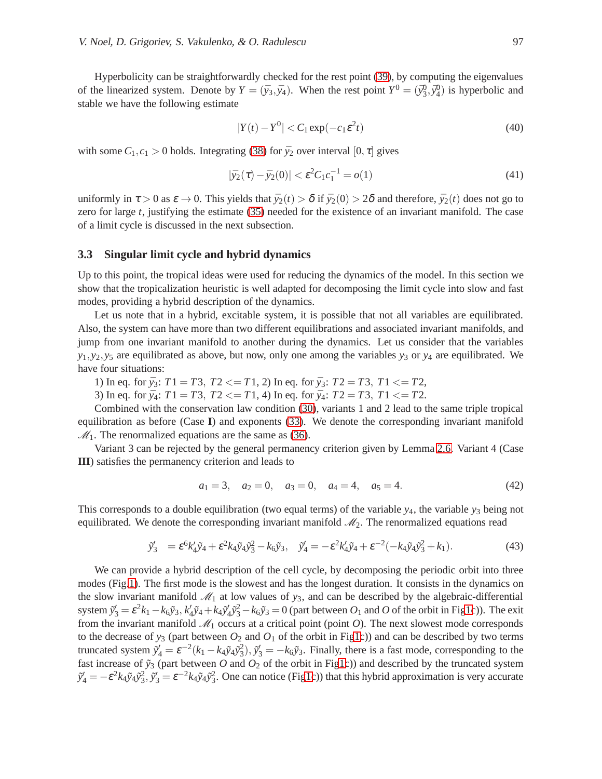Hyperbolicity can be straightforwardly checked for the rest point [\(39\)](#page-8-3), by computing the eigenvalues of the linearized system. Denote by  $Y = (\bar{y}_3, \bar{y}_4)$ . When the rest point  $Y^0 = (\bar{y}_3^0, \bar{y}_4^0)$  is hyperbolic and stable we have the following estimate

$$
|Y(t) - Y^0| < C_1 \exp(-c_1 \varepsilon^2 t) \tag{40}
$$

with some  $C_1, c_1 > 0$  holds. Integrating [\(38\)](#page-8-4) for  $\bar{y}_2$  over interval  $[0, \tau]$  gives

$$
|\bar{y}_2(\tau) - \bar{y}_2(0)| < \varepsilon^2 C_1 c_1^{-1} = o(1) \tag{41}
$$

uniformly in  $\tau > 0$  as  $\varepsilon \to 0$ . This yields that  $\bar{y}_2(t) > \delta$  if  $\bar{y}_2(0) > 2\delta$  and therefore,  $\bar{y}_2(t)$  does not go to zero for large *t*, justifying the estimate [\(35\)](#page-8-2) needed for the existence of an invariant manifold. The case of a limit cycle is discussed in the next subsection.

#### **3.3 Singular limit cycle and hybrid dynamics**

Up to this point, the tropical ideas were used for reducing the dynamics of the model. In this section we show that the tropicalization heuristic is well adapted for decomposing the limit cycle into slow and fast modes, providing a hybrid description of the dynamics.

Let us note that in a hybrid, excitable system, it is possible that not all variables are equilibrated. Also, the system can have more than two different equilibrations and associated invariant manifolds, and jump from one invariant manifold to another during the dynamics. Let us consider that the variables  $y_1, y_2, y_5$  are equilibrated as above, but now, only one among the variables  $y_3$  or  $y_4$  are equilibrated. We have four situations:

1) In eq. for  $\bar{y}_3$ :  $T1 = T3$ ,  $T2 \leq T1$ , 2) In eq. for  $\bar{y}_3$ :  $T2 = T3$ ,  $T1 \leq T2$ ,

3) In eq. for  $\bar{y}_4$ :  $T1 = T3$ ,  $T2 \leq T1$ , 4) In eq. for  $\bar{y}_4$ :  $T2 = T3$ ,  $T1 \leq T2$ .

Combined with the conservation law condition [\(30\)](#page-7-1), variants 1 and 2 lead to the same triple tropical equilibration as before (Case **I**) and exponents [\(33\)](#page-7-4). We denote the corresponding invariant manifold  $M_1$ . The renormalized equations are the same as [\(36\)](#page-8-1).

Variant 3 can be rejected by the general permanency criterion given by Lemma [2.6.](#page-5-0) Variant 4 (Case **III**) satisfies the permanency criterion and leads to

$$
a_1 = 3, \quad a_2 = 0, \quad a_3 = 0, \quad a_4 = 4, \quad a_5 = 4. \tag{42}
$$

This corresponds to a double equilibration (two equal terms) of the variable  $y_4$ , the variable  $y_3$  being not equilibrated. We denote the corresponding invariant manifold  $\mathcal{M}_2$ . The renormalized equations read

$$
\tilde{y}'_3 = \varepsilon^6 k'_4 \tilde{y}_4 + \varepsilon^2 k_4 \tilde{y}_4 \tilde{y}_3^2 - k_6 \tilde{y}_3, \quad \tilde{y}'_4 = -\varepsilon^2 k'_4 \tilde{y}_4 + \varepsilon^{-2} (-k_4 \tilde{y}_4 \tilde{y}_3^2 + k_1). \tag{43}
$$

We can provide a hybrid description of the cell cycle, by decomposing the periodic orbit into three modes (Fig[.1\)](#page-12-0). The first mode is the slowest and has the longest duration. It consists in the dynamics on the slow invariant manifold  $\mathcal{M}_1$  at low values of  $y_3$ , and can be described by the algebraic-differential system  $\tilde{y}'_3 = \varepsilon^2 k_1 - k_6 \tilde{y}_3$ ,  $k'_4 \tilde{y}_4 + k_4 \tilde{y}'_4 \tilde{y}_3^2 - k_6 \tilde{y}_3 = 0$  (part between  $O_1$  and  $O$  of the orbit in Fi[g1c](#page-12-0))). The exit from the invariant manifold  $\mathcal{M}_1$  occurs at a critical point (point  $O$ ). The next slowest mode corresponds to the decrease of  $y_3$  (part between  $O_2$  and  $O_1$  of the orbit in Fi[g1c](#page-12-0))) and can be described by two terms truncated system  $\tilde{y}'_4 = \varepsilon^{-2}(k_1 - k_4 \tilde{y}_4 \tilde{y}_3^2), \tilde{y}'_3 = -k_6 \tilde{y}_3$ . Finally, there is a fast mode, corresponding to the fast increase of  $\tilde{y}_3$  (part between  $O$  and  $O_2$  of the orbit in Fi[g1c](#page-12-0))) and described by the truncated system  $\tilde{y}'_4 = -\varepsilon^2 k_4 \tilde{y}_4 \tilde{y}_3^2$ ,  $\tilde{y}'_3 = \varepsilon^{-2} k_4 \tilde{y}_4 \tilde{y}_3^2$ . One can notice (Fi[g1c](#page-12-0))) that this hybrid approximation is very accurate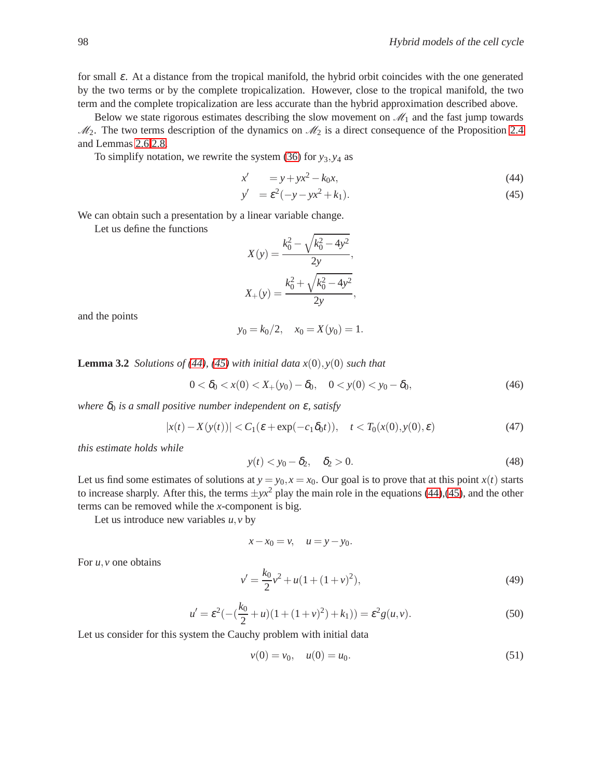for small  $\varepsilon$ . At a distance from the tropical manifold, the hybrid orbit coincides with the one generated by the two terms or by the complete tropicalization. However, close to the tropical manifold, the two term and the complete tropicalization are less accurate than the hybrid approximation described above.

Below we state rigorous estimates describing the slow movement on  $\mathcal{M}_1$  and the fast jump towards  $\mathcal{M}_2$ . The two terms description of the dynamics on  $\mathcal{M}_2$  is a direct consequence of the Proposition [2.4](#page-3-2) and Lemmas [2.6](#page-5-0)[,2.8.](#page-6-2)

To simplify notation, we rewrite the system [\(36\)](#page-8-1) for *y*3,*y*<sup>4</sup> as

<span id="page-10-0"></span>
$$
x' = y + yx^2 - k_0x,
$$
\t(44)

$$
y' = \varepsilon^2(-y - yx^2 + k_1). \tag{45}
$$

We can obtain such a presentation by a linear variable change.

Let us define the functions

$$
X(y) = \frac{k_0^2 - \sqrt{k_0^2 - 4y^2}}{2y},
$$
  

$$
X_+(y) = \frac{k_0^2 + \sqrt{k_0^2 - 4y^2}}{2y},
$$

and the points

$$
y_0 = k_0/2
$$
,  $x_0 = X(y_0) = 1$ .

**Lemma 3.2** *Solutions of* [\(44\)](#page-10-0), [\(45\)](#page-10-0) *with initial data*  $x(0)$ ,  $y(0)$  *such that* 

$$
0 < \delta_0 < x(0) < X_+(y_0) - \delta_0, \quad 0 < y(0) < y_0 - \delta_0,\tag{46}
$$

*where*  $\delta_0$  *is a small positive number independent on*  $\varepsilon$ *, satisfy* 

$$
|x(t) - X(y(t))| < C_1(\varepsilon + \exp(-c_1 \delta_0 t)), \quad t < T_0(x(0), y(0), \varepsilon) \tag{47}
$$

*this estimate holds while*

<span id="page-10-4"></span>
$$
y(t) < y_0 - \delta_2, \quad \delta_2 > 0. \tag{48}
$$

Let us find some estimates of solutions at  $y = y_0$ ,  $x = x_0$ . Our goal is to prove that at this point  $x(t)$  starts to increase sharply. After this, the terms  $\pm yx^2$  play the main role in the equations [\(44\)](#page-10-0),[\(45\)](#page-10-0), and the other terms can be removed while the *x*-component is big.

Let us introduce new variables  $u, v$  by

$$
x - x_0 = v, \quad u = y - y_0.
$$

<span id="page-10-2"></span>For *u*,*v* one obtains

$$
v' = \frac{k_0}{2}v^2 + u(1 + (1 + v)^2),
$$
\n(49)

<span id="page-10-1"></span>
$$
u' = \varepsilon^2(-\left(\frac{k_0}{2} + u\right)(1 + (1 + v)^2) + k_1)) = \varepsilon^2 g(u, v).
$$
 (50)

Let us consider for this system the Cauchy problem with initial data

<span id="page-10-3"></span>
$$
v(0) = v_0, \quad u(0) = u_0. \tag{51}
$$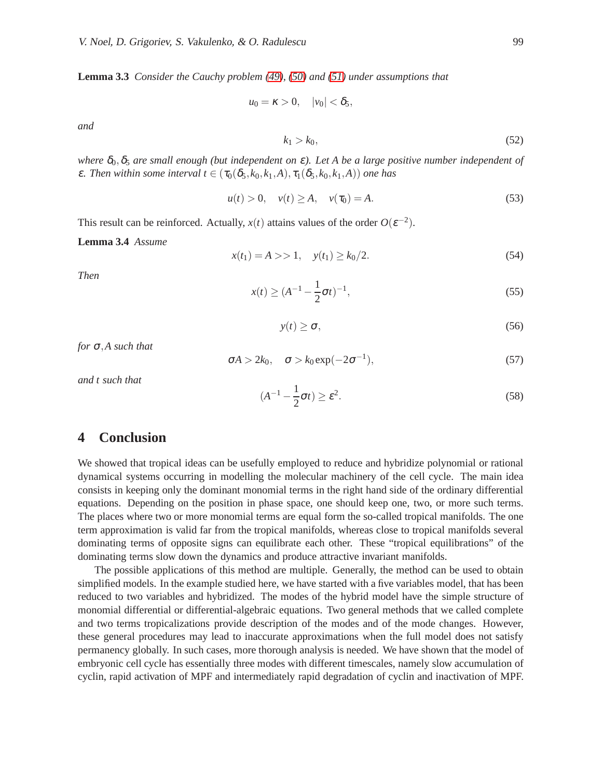**Lemma 3.3** *Consider the Cauchy problem [\(49\)](#page-10-1), [\(50\)](#page-10-2) and [\(51\)](#page-10-3) under assumptions that*

 $u_0 = \kappa > 0, \quad |v_0| < \delta_5,$ 

<span id="page-11-0"></span>*and*

$$
k_1 > k_0, \tag{52}
$$

*where*  $\delta_0$ ,  $\delta_5$  *are small enough (but independent on*  $\varepsilon$ ). Let A be a large positive number independent of  $\epsilon$ *. Then within some interval t*  $\in$  ( $\tau_0(\delta_5, k_0, k_1, A), \tau_1(\delta_5, k_0, k_1, A)$ ) *one has* 

$$
u(t) > 0, \quad v(t) \ge A, \quad v(\tau_0) = A. \tag{53}
$$

This result can be reinforced. Actually,  $x(t)$  attains values of the order  $O(\varepsilon^{-2})$ .

#### **Lemma 3.4** *Assume*

$$
x(t_1) = A >> 1, \quad y(t_1) \ge k_0/2.
$$
 (54)

<span id="page-11-3"></span><span id="page-11-2"></span>*Then*

$$
x(t) \ge (A^{-1} - \frac{1}{2}\sigma t)^{-1},
$$
\n(55)

$$
y(t) \ge \sigma,\tag{56}
$$

*for* <sup>σ</sup>,*A such that*

<span id="page-11-1"></span>
$$
\sigma A > 2k_0, \quad \sigma > k_0 \exp(-2\sigma^{-1}), \tag{57}
$$

<span id="page-11-4"></span>*and t such that*

$$
(A^{-1} - \frac{1}{2}\sigma t) \ge \varepsilon^2. \tag{58}
$$

## **4 Conclusion**

We showed that tropical ideas can be usefully employed to reduce and hybridize polynomial or rational dynamical systems occurring in modelling the molecular machinery of the cell cycle. The main idea consists in keeping only the dominant monomial terms in the right hand side of the ordinary differential equations. Depending on the position in phase space, one should keep one, two, or more such terms. The places where two or more monomial terms are equal form the so-called tropical manifolds. The one term approximation is valid far from the tropical manifolds, whereas close to tropical manifolds several dominating terms of opposite signs can equilibrate each other. These "tropical equilibrations" of the dominating terms slow down the dynamics and produce attractive invariant manifolds.

The possible applications of this method are multiple. Generally, the method can be used to obtain simplified models. In the example studied here, we have started with a five variables model, that has been reduced to two variables and hybridized. The modes of the hybrid model have the simple structure of monomial differential or differential-algebraic equations. Two general methods that we called complete and two terms tropicalizations provide description of the modes and of the mode changes. However, these general procedures may lead to inaccurate approximations when the full model does not satisfy permanency globally. In such cases, more thorough analysis is needed. We have shown that the model of embryonic cell cycle has essentially three modes with different timescales, namely slow accumulation of cyclin, rapid activation of MPF and intermediately rapid degradation of cyclin and inactivation of MPF.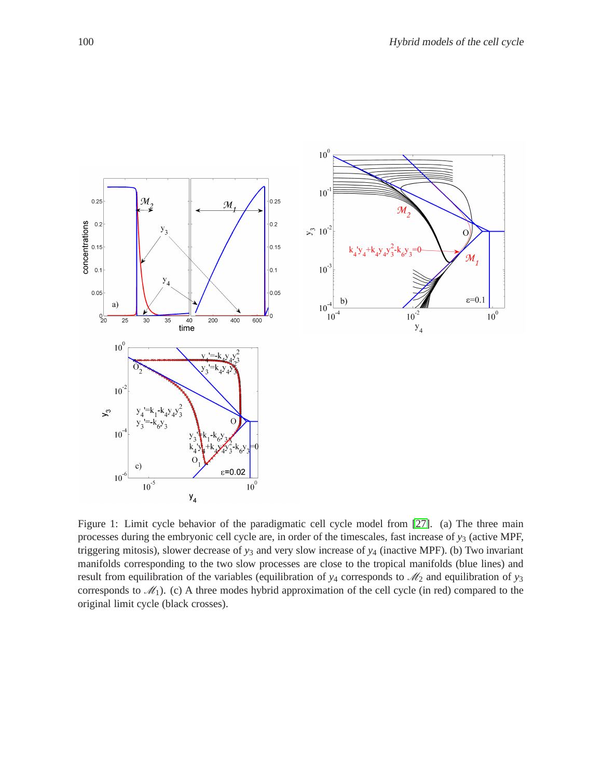

<span id="page-12-0"></span>Figure 1: Limit cycle behavior of the paradigmatic cell cycle model from [\[27\]](#page-14-17). (a) The three main processes during the embryonic cell cycle are, in order of the timescales, fast increase of *y*<sup>3</sup> (active MPF, triggering mitosis), slower decrease of  $y_3$  and very slow increase of  $y_4$  (inactive MPF). (b) Two invariant manifolds corresponding to the two slow processes are close to the tropical manifolds (blue lines) and result from equilibration of the variables (equilibration of  $y_4$  corresponds to  $\mathcal{M}_2$  and equilibration of  $y_3$ corresponds to  $\mathcal{M}_1$ ). (c) A three modes hybrid approximation of the cell cycle (in red) compared to the original limit cycle (black crosses).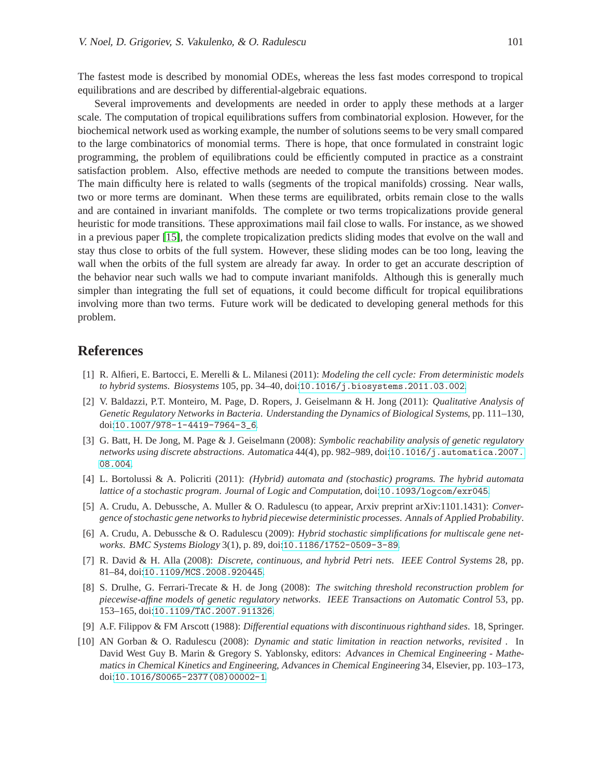The fastest mode is described by monomial ODEs, whereas the less fast modes correspond to tropical equilibrations and are described by differential-algebraic equations.

Several improvements and developments are needed in order to apply these methods at a larger scale. The computation of tropical equilibrations suffers from combinatorial explosion. However, for the biochemical network used as working example, the number of solutions seems to be very small compared to the large combinatorics of monomial terms. There is hope, that once formulated in constraint logic programming, the problem of equilibrations could be efficiently computed in practice as a constraint satisfaction problem. Also, effective methods are needed to compute the transitions between modes. The main difficulty here is related to walls (segments of the tropical manifolds) crossing. Near walls, two or more terms are dominant. When these terms are equilibrated, orbits remain close to the walls and are contained in invariant manifolds. The complete or two terms tropicalizations provide general heuristic for mode transitions. These approximations mail fail close to walls. For instance, as we showed in a previous paper [\[15\]](#page-14-13), the complete tropicalization predicts sliding modes that evolve on the wall and stay thus close to orbits of the full system. However, these sliding modes can be too long, leaving the wall when the orbits of the full system are already far away. In order to get an accurate description of the behavior near such walls we had to compute invariant manifolds. Although this is generally much simpler than integrating the full set of equations, it could become difficult for tropical equilibrations involving more than two terms. Future work will be dedicated to developing general methods for this problem.

### <span id="page-13-8"></span>**References**

- [1] R. Alfieri, E. Bartocci, E. Merelli & L. Milanesi (2011): *Modeling the cell cycle: From deterministic models to hybrid systems*. Biosystems 105, pp. 34–40, doi:[10.1016/j.biosystems.2011.03.002](http://dx.doi.org/10.1016/j.biosystems.2011.03.002).
- <span id="page-13-5"></span>[2] V. Baldazzi, P.T. Monteiro, M. Page, D. Ropers, J. Geiselmann & H. Jong (2011): *Qualitative Analysis of Genetic Regulatory Networks in Bacteria*. Understanding the Dynamics of Biological Systems, pp. 111–130, doi:[10.1007/978-1-4419-7964-3\\_6](http://dx.doi.org/10.1007/978-1-4419-7964-3_6).
- <span id="page-13-7"></span>[3] G. Batt, H. De Jong, M. Page & J. Geiselmann (2008): *Symbolic reachability analysis of genetic regulatory networks using discrete abstractions*. Automatica 44(4), pp. 982–989, doi:[10.1016/j.automatica.2007.](http://dx.doi.org/10.1016/j.automatica.2007.08.004) [08.004](http://dx.doi.org/10.1016/j.automatica.2007.08.004).
- <span id="page-13-3"></span>[4] L. Bortolussi & A. Policriti (2011): *(Hybrid) automata and (stochastic) programs. The hybrid automata lattice of a stochastic program*. Journal of Logic and Computation, doi:[10.1093/logcom/exr045](http://dx.doi.org/10.1093/logcom/exr045).
- <span id="page-13-2"></span>[5] A. Crudu, A. Debussche, A. Muller & O. Radulescu (to appear, Arxiv preprint arXiv:1101.1431): *Convergence of stochastic gene networks to hybrid piecewise deterministic processes*. Annals of Applied Probability.
- <span id="page-13-1"></span>[6] A. Crudu, A. Debussche & O. Radulescu (2009): *Hybrid stochastic simplifications for multiscale gene networks*. BMC Systems Biology 3(1), p. 89, doi:[10.1186/1752-0509-3-89](http://dx.doi.org/10.1186/1752-0509-3-89).
- <span id="page-13-4"></span>[7] R. David & H. Alla (2008): *Discrete, continuous, and hybrid Petri nets*. IEEE Control Systems 28, pp. 81–84, doi:[10.1109/MCS.2008.920445](http://dx.doi.org/10.1109/MCS.2008.920445).
- <span id="page-13-6"></span>[8] S. Drulhe, G. Ferrari-Trecate & H. de Jong (2008): *The switching threshold reconstruction problem for piecewise-affine models of genetic regulatory networks*. IEEE Transactions on Automatic Control 53, pp. 153–165, doi:[10.1109/TAC.2007.911326](http://dx.doi.org/10.1109/TAC.2007.911326).
- <span id="page-13-9"></span><span id="page-13-0"></span>[9] A.F. Filippov & FM Arscott (1988): *Differential equations with discontinuous righthand sides*. 18, Springer.
- [10] AN Gorban & O. Radulescu (2008): *Dynamic and static limitation in reaction networks, revisited* . In David West Guy B. Marin & Gregory S. Yablonsky, editors: Advances in Chemical Engineering - Mathematics in Chemical Kinetics and Engineering, Advances in Chemical Engineering 34, Elsevier, pp. 103–173, doi:[10.1016/S0065-2377\(08\)00002-1](http://dx.doi.org/10.1016/S0065-2377(08)00002-1).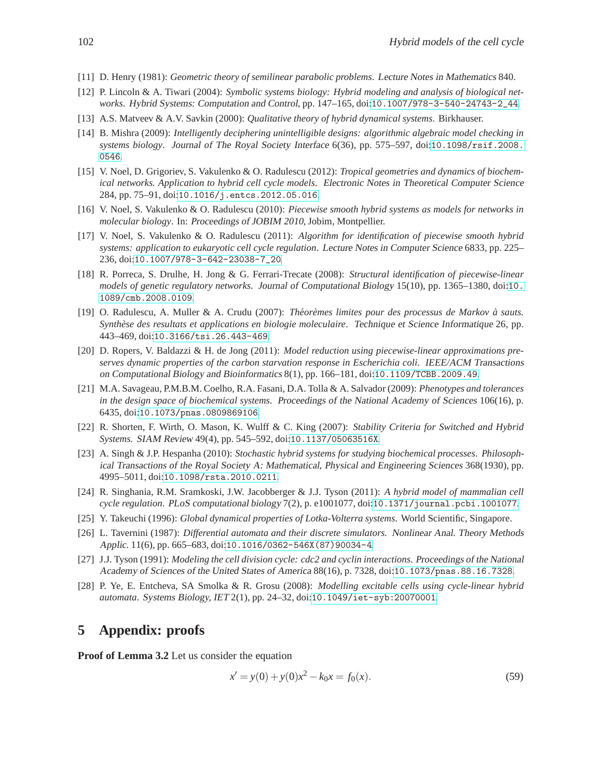- <span id="page-14-16"></span><span id="page-14-5"></span>[11] D. Henry (1981): *Geometric theory of semilinear parabolic problems*. Lecture Notes in Mathematics 840.
- [12] P. Lincoln & A. Tiwari (2004): *Symbolic systems biology: Hybrid modeling and analysis of biological networks*. Hybrid Systems: Computation and Control, pp. 147–165, doi:[10.1007/978-3-540-24743-2\\_44](http://dx.doi.org/10.1007/978-3-540-24743-2_44).
- <span id="page-14-6"></span><span id="page-14-0"></span>[13] A.S. Matveev & A.V. Savkin (2000): *Qualitative theory of hybrid dynamical systems*. Birkhauser.
- [14] B. Mishra (2009): *Intelligently deciphering unintelligible designs: algorithmic algebraic model checking in systems biology*. Journal of The Royal Society Interface 6(36), pp. 575–597, doi:[10.1098/rsif.2008.](http://dx.doi.org/10.1098/rsif.2008.0546) [0546](http://dx.doi.org/10.1098/rsif.2008.0546).
- <span id="page-14-13"></span>[15] V. Noel, D. Grigoriev, S. Vakulenko & O. Radulescu (2012): *Tropical geometries and dynamics of biochemical networks. Application to hybrid cell cycle models*. Electronic Notes in Theoretical Computer Science 284, pp. 75–91, doi:[10.1016/j.entcs.2012.05.016](http://dx.doi.org/10.1016/j.entcs.2012.05.016).
- <span id="page-14-11"></span>[16] V. Noel, S. Vakulenko & O. Radulescu (2010): *Piecewise smooth hybrid systems as models for networks in molecular biology*. In: Proceedings of JOBIM <sup>2010</sup>, Jobim, Montpellier.
- <span id="page-14-12"></span>[17] V. Noel, S. Vakulenko & O. Radulescu (2011): *Algorithm for identification of piecewise smooth hybrid systems: application to eukaryotic cell cycle regulation*. Lecture Notes in Computer Science 6833, pp. 225– 236, doi:[10.1007/978-3-642-23038-7\\_20](http://dx.doi.org/10.1007/978-3-642-23038-7_20).
- <span id="page-14-9"></span>[18] R. Porreca, S. Drulhe, H. Jong & G. Ferrari-Trecate (2008): *Structural identification of piecewise-linear models of genetic regulatory networks*. Journal of Computational Biology 15(10), pp. 1365–1380, doi:[10.](http://dx.doi.org/10.1089/cmb.2008.0109) [1089/cmb.2008.0109](http://dx.doi.org/10.1089/cmb.2008.0109).
- <span id="page-14-3"></span>[19] O. Radulescu, A. Muller & A. Crudu (2007): *Theor ´ emes limites pour des processus de Markov ` a sauts. ` Synthese des resultats et applications en biologie moleculaire `* . Technique et Science Informatique 26, pp. 443–469, doi:[10.3166/tsi.26.443-469](http://dx.doi.org/10.3166/tsi.26.443-469).
- <span id="page-14-7"></span>[20] D. Ropers, V. Baldazzi & H. de Jong (2011): *Model reduction using piecewise-linear approximations preserves dynamic properties of the carbon starvation response in Escherichia coli*. IEEE/ACM Transactions on Computational Biology and Bioinformatics 8(1), pp. 166–181, doi:[10.1109/TCBB.2009.49](http://dx.doi.org/10.1109/TCBB.2009.49).
- <span id="page-14-14"></span>[21] M.A. Savageau, P.M.B.M. Coelho, R.A. Fasani, D.A. Tolla & A. Salvador (2009): *Phenotypes and tolerances in the design space of biochemical systems*. Proceedings of the National Academy of Sciences 106(16), p. 6435, doi:[10.1073/pnas.0809869106](http://dx.doi.org/10.1073/pnas.0809869106).
- <span id="page-14-1"></span>[22] R. Shorten, F. Wirth, O. Mason, K. Wulff & C. King (2007): *Stability Criteria for Switched and Hybrid Systems.* SIAM Review 49(4), pp. 545–592, doi:[10.1137/05063516X](http://dx.doi.org/10.1137/05063516X).
- <span id="page-14-4"></span>[23] A. Singh & J.P. Hespanha (2010): *Stochastic hybrid systems for studying biochemical processes*. Philosophical Transactions of the Royal Society A: Mathematical, Physical and Engineering Sciences 368(1930), pp. 4995–5011, doi:[10.1098/rsta.2010.0211](http://dx.doi.org/10.1098/rsta.2010.0211).
- <span id="page-14-10"></span>[24] R. Singhania, R.M. Sramkoski, J.W. Jacobberger & J.J. Tyson (2011): *A hybrid model of mammalian cell cycle regulation*. PLoS computational biology 7(2), p. e1001077, doi:[10.1371/journal.pcbi.1001077](http://dx.doi.org/10.1371/journal.pcbi.1001077).
- <span id="page-14-15"></span><span id="page-14-2"></span>[25] Y. Takeuchi (1996): *Global dynamical properties of Lotka-Volterra systems*. World Scientific, Singapore.
- [26] L. Tavernini (1987): *Differential automata and their discrete simulators.* Nonlinear Anal. Theory Methods Applic. 11(6), pp. 665–683, doi:[10.1016/0362-546X\(87\)90034-4](http://dx.doi.org/10.1016/0362-546X(87)90034-4).
- <span id="page-14-17"></span>[27] J.J. Tyson (1991): *Modeling the cell division cycle: cdc2 and cyclin interactions*. Proceedings of the National Academy of Sciences of the United States of America 88(16), p. 7328, doi:[10.1073/pnas.88.16.7328](http://dx.doi.org/10.1073/pnas.88.16.7328).
- <span id="page-14-8"></span>[28] P. Ye, E. Entcheva, SA Smolka & R. Grosu (2008): *Modelling excitable cells using cycle-linear hybrid automata*. Systems Biology, IET 2(1), pp. 24–32, doi:[10.1049/iet-syb:20070001](http://dx.doi.org/10.1049/iet-syb:20070001).

## **5 Appendix: proofs**

**Proof of Lemma 3.2** Let us consider the equation

<span id="page-14-18"></span>
$$
x' = y(0) + y(0)x^2 - k_0 x = f_0(x).
$$
\n(59)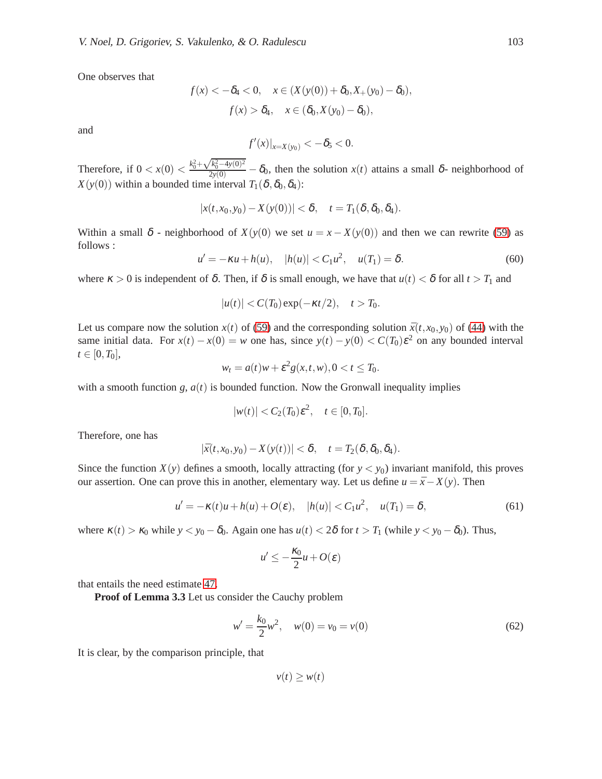One observes that

$$
f(x) < -\delta_4 < 0, \quad x \in (X(y(0)) + \delta_0, X_+(y_0) - \delta_0),
$$

$$
f(x) > \delta_4, \quad x \in (\delta_0, X(y_0) - \delta_0),
$$

and

$$
f'(x)|_{x=X(y_0)}<-\delta_5<0.
$$

Therefore, if  $0 < x(0) < \frac{k_0^2 + \sqrt{k_0^2 - 4y(0)^2}}{2y(0)} - \delta_0$ , then the solution  $x(t)$  attains a small  $\delta$ - neighborhood of *X*(*y*(0)) within a bounded time interval  $T_1(\delta, \delta_0, \delta_4)$ :

$$
|x(t,x_0,y_0)-X(y(0))|<\delta,\quad t=T_1(\delta,\delta_0,\delta_4).
$$

Within a small  $\delta$  - neighborhood of  $X(y(0))$  we set  $u = x - X(y(0))$  and then we can rewrite [\(59\)](#page-14-18) as follows :

 $u' = -\kappa u + h(u), \quad |h(u)| < C_1 u^2, \quad u(T_1) = \delta.$  (60)

where  $\kappa > 0$  is independent of  $\delta$ . Then, if  $\delta$  is small enough, we have that  $u(t) < \delta$  for all  $t > T_1$  and

$$
|u(t)| < C(T_0) \exp(-\kappa t/2), \quad t > T_0.
$$

Let us compare now the solution  $x(t)$  of [\(59\)](#page-14-18) and the corresponding solution  $\bar{x}(t, x_0, y_0)$  of [\(44\)](#page-10-0) with the same initial data. For  $x(t) - x(0) = w$  one has, since  $y(t) - y(0) < C(T_0) \varepsilon^2$  on any bounded interval  $t \in [0, T_0],$ 

$$
w_t = a(t)w + \varepsilon^2 g(x,t,w), 0 < t \leq T_0.
$$

with a smooth function  $g$ ,  $a(t)$  is bounded function. Now the Gronwall inequality implies

$$
|w(t)| < C_2(T_0)\varepsilon^2, \quad t \in [0, T_0].
$$

Therefore, one has

$$
|\bar{x}(t,x_0,y_0)-X(y(t))|<\delta, \quad t=T_2(\delta,\delta_0,\delta_4).
$$

Since the function  $X(y)$  defines a smooth, locally attracting (for  $y < y_0$ ) invariant manifold, this proves our assertion. One can prove this in another, elementary way. Let us define  $u = \bar{x} - X(y)$ . Then

$$
u' = -\kappa(t)u + h(u) + O(\varepsilon), \quad |h(u)| < C_1 u^2, \quad u(T_1) = \delta,\tag{61}
$$

where  $\kappa(t) > \kappa_0$  while  $y < y_0 - \delta_0$ . Again one has  $u(t) < 2\delta$  for  $t > T_1$  (while  $y < y_0 - \delta_0$ ). Thus,

$$
u' \leq -\frac{\kappa_0}{2}u + O(\varepsilon)
$$

that entails the need estimate [47.](#page-10-4)

**Proof of Lemma 3.3** Let us consider the Cauchy problem

$$
w' = \frac{k_0}{2}w^2, \quad w(0) = v_0 = v(0)
$$
\n(62)

It is clear, by the comparison principle, that

 $v(t) \geq w(t)$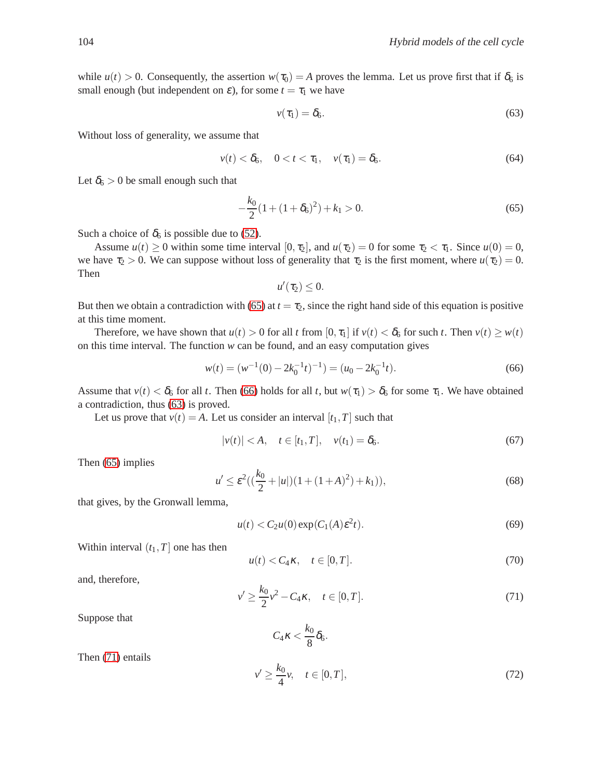while  $u(t) > 0$ . Consequently, the assertion  $w(\tau_0) = A$  proves the lemma. Let us prove first that if  $\delta_6$  is small enough (but independent on  $\varepsilon$ ), for some  $t = \tau_1$  we have

<span id="page-16-2"></span>
$$
v(\tau_1) = \delta_6. \tag{63}
$$

Without loss of generality, we assume that

$$
v(t) < \delta_6, \quad 0 < t < \tau_1, \quad v(\tau_1) = \delta_6. \tag{64}
$$

Let  $\delta_6 > 0$  be small enough such that

<span id="page-16-0"></span>
$$
-\frac{k_0}{2}(1+(1+\delta_6)^2)+k_1>0.
$$
\n(65)

Such a choice of  $\delta_6$  is possible due to [\(52\)](#page-11-0).

Assume  $u(t) \ge 0$  within some time interval  $[0, \tau_2]$ , and  $u(\tau_2) = 0$  for some  $\tau_2 < \tau_1$ . Since  $u(0) = 0$ , we have  $\tau_2 > 0$ . We can suppose without loss of generality that  $\tau_2$  is the first moment, where  $u(\tau_2) = 0$ . Then

<span id="page-16-1"></span>
$$
u'(\tau_2)\leq 0.
$$

But then we obtain a contradiction with [\(65\)](#page-16-0) at  $t = \tau_2$ , since the right hand side of this equation is positive at this time moment.

Therefore, we have shown that  $u(t) > 0$  for all *t* from  $[0, \tau_1]$  if  $v(t) < \delta_6$  for such *t*. Then  $v(t) \geq w(t)$ on this time interval. The function *w* can be found, and an easy computation gives

$$
w(t) = (w^{-1}(0) - 2k_0^{-1}t)^{-1}) = (u_0 - 2k_0^{-1}t).
$$
\n(66)

Assume that  $v(t) < \delta_6$  for all *t*. Then [\(66\)](#page-16-1) holds for all *t*, but  $w(\tau_1) > \delta_6$  for some  $\tau_1$ . We have obtained a contradiction, thus [\(63\)](#page-16-2) is proved.

Let us prove that  $v(t) = A$ . Let us consider an interval  $[t_1, T]$  such that

$$
|v(t)| < A, \quad t \in [t_1, T], \quad v(t_1) = \delta_6. \tag{67}
$$

Then [\(65\)](#page-16-0) implies

$$
u' \le \varepsilon^2 \left( \left( \frac{k_0}{2} + |u| \right) \left( 1 + (1 + A)^2 \right) + k_1 \right),\tag{68}
$$

that gives, by the Gronwall lemma,

$$
u(t) < C_2 u(0) \exp(C_1(A)\varepsilon^2 t). \tag{69}
$$

Within interval  $(t_1, T]$  one has then

$$
u(t) < C_4 \kappa, \quad t \in [0, T]. \tag{70}
$$

<span id="page-16-3"></span>and, therefore,

$$
v' \ge \frac{k_0}{2}v^2 - C_4\kappa, \quad t \in [0, T].
$$
\n(71)

Suppose that

$$
C_4\kappa < \frac{k_0}{8}\delta_6.
$$

Then [\(71\)](#page-16-3) entails

$$
v' \ge \frac{k_0}{4}v, \quad t \in [0, T], \tag{72}
$$